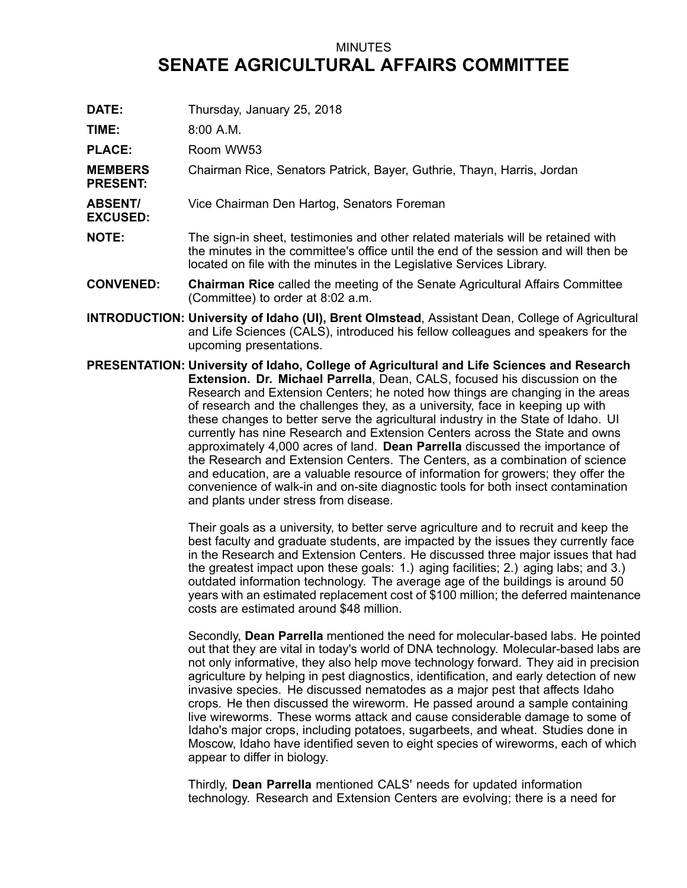## MINUTES **SENATE AGRICULTURAL AFFAIRS COMMITTEE**

**DATE:** Thursday, January 25, 2018

**TIME:** 8:00 A.M.

PLACE: Room WW53

**MEMBERS PRESENT:** Chairman Rice, Senators Patrick, Bayer, Guthrie, Thayn, Harris, Jordan

- **ABSENT/ EXCUSED:** Vice Chairman Den Hartog, Senators Foreman
- **NOTE:** The sign-in sheet, testimonies and other related materials will be retained with the minutes in the committee's office until the end of the session and will then be located on file with the minutes in the Legislative Services Library.
- **CONVENED: Chairman Rice** called the meeting of the Senate Agricultural Affairs Committee (Committee) to order at 8:02 a.m.
- **INTRODUCTION: University of Idaho (UI), Brent Olmstead**, Assistant Dean, College of Agricultural and Life Sciences (CALS), introduced his fellow colleagues and speakers for the upcoming presentations.
- **PRESENTATION: University of Idaho, College of Agricultural and Life Sciences and Research Extension. Dr. Michael Parrella**, Dean, CALS, focused his discussion on the Research and Extension Centers; he noted how things are changing in the areas of research and the challenges they, as <sup>a</sup> university, face in keeping up with these changes to better serve the agricultural industry in the State of Idaho. UI currently has nine Research and Extension Centers across the State and owns approximately 4,000 acres of land. **Dean Parrella** discussed the importance of the Research and Extension Centers. The Centers, as <sup>a</sup> combination of science and education, are <sup>a</sup> valuable resource of information for growers; they offer the convenience of walk-in and on-site diagnostic tools for both insect contamination and plants under stress from disease.

Their goals as <sup>a</sup> university, to better serve agriculture and to recruit and keep the best faculty and graduate students, are impacted by the issues they currently face in the Research and Extension Centers. He discussed three major issues that had the greatest impact upon these goals: 1.) aging facilities; 2.) aging labs; and 3.) outdated information technology. The average age of the buildings is around 50 years with an estimated replacement cost of \$100 million; the deferred maintenance costs are estimated around \$48 million.

Secondly, **Dean Parrella** mentioned the need for molecular-based labs. He pointed out that they are vital in today's world of DNA technology. Molecular-based labs are not only informative, they also help move technology forward. They aid in precision agriculture by helping in pest diagnostics, identification, and early detection of new invasive species. He discussed nematodes as <sup>a</sup> major pest that affects Idaho crops. He then discussed the wireworm. He passed around <sup>a</sup> sample containing live wireworms. These worms attack and cause considerable damage to some of Idaho's major crops, including potatoes, sugarbeets, and wheat. Studies done in Moscow, Idaho have identified seven to eight species of wireworms, each of which appear to differ in biology.

Thirdly, **Dean Parrella** mentioned CALS' needs for updated information technology. Research and Extension Centers are evolving; there is <sup>a</sup> need for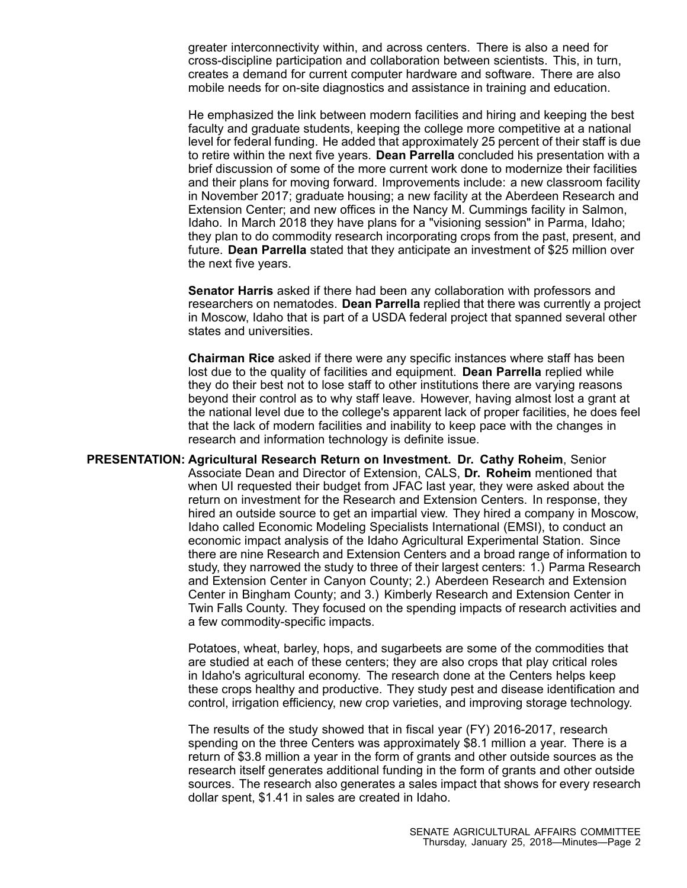greater interconnectivity within, and across centers. There is also <sup>a</sup> need for cross-discipline participation and collaboration between scientists. This, in turn, creates <sup>a</sup> demand for current computer hardware and software. There are also mobile needs for on-site diagnostics and assistance in training and education.

He emphasized the link between modern facilities and hiring and keeping the best faculty and graduate students, keeping the college more competitive at <sup>a</sup> national level for federal funding. He added that approximately 25 percent of their staff is due to retire within the next five years. **Dean Parrella** concluded his presentation with <sup>a</sup> brief discussion of some of the more current work done to modernize their facilities and their plans for moving forward. Improvements include: <sup>a</sup> new classroom facility in November 2017; graduate housing; <sup>a</sup> new facility at the Aberdeen Research and Extension Center; and new offices in the Nancy M. Cummings facility in Salmon, Idaho. In March 2018 they have plans for <sup>a</sup> "visioning session" in Parma, Idaho; they plan to do commodity research incorporating crops from the past, present, and future. **Dean Parrella** stated that they anticipate an investment of \$25 million over the next five years.

**Senator Harris** asked if there had been any collaboration with professors and researchers on nematodes. **Dean Parrella** replied that there was currently <sup>a</sup> project in Moscow, Idaho that is part of <sup>a</sup> USDA federal project that spanned several other states and universities.

**Chairman Rice** asked if there were any specific instances where staff has been lost due to the quality of facilities and equipment. **Dean Parrella** replied while they do their best not to lose staff to other institutions there are varying reasons beyond their control as to why staff leave. However, having almost lost <sup>a</sup> grant at the national level due to the college's apparent lack of proper facilities, he does feel that the lack of modern facilities and inability to keep pace with the changes in research and information technology is definite issue.

**PRESENTATION: Agricultural Research Return on Investment. Dr. Cathy Roheim**, Senior Associate Dean and Director of Extension, CALS, **Dr. Roheim** mentioned that when UI requested their budget from JFAC last year, they were asked about the return on investment for the Research and Extension Centers. In response, they hired an outside source to get an impartial view. They hired <sup>a</sup> company in Moscow, Idaho called Economic Modeling Specialists International (EMSI), to conduct an economic impact analysis of the Idaho Agricultural Experimental Station. Since there are nine Research and Extension Centers and <sup>a</sup> broad range of information to study, they narrowed the study to three of their largest centers: 1.) Parma Research and Extension Center in Canyon County; 2.) Aberdeen Research and Extension Center in Bingham County; and 3.) Kimberly Research and Extension Center in Twin Falls County. They focused on the spending impacts of research activities and <sup>a</sup> few commodity-specific impacts.

> Potatoes, wheat, barley, hops, and sugarbeets are some of the commodities that are studied at each of these centers; they are also crops that play critical roles in Idaho's agricultural economy. The research done at the Centers helps keep these crops healthy and productive. They study pest and disease identification and control, irrigation efficiency, new crop varieties, and improving storage technology.

> The results of the study showed that in fiscal year (FY) 2016-2017, research spending on the three Centers was approximately \$8.1 million <sup>a</sup> year. There is <sup>a</sup> return of \$3.8 million <sup>a</sup> year in the form of grants and other outside sources as the research itself generates additional funding in the form of grants and other outside sources. The research also generates <sup>a</sup> sales impact that shows for every research dollar spent, \$1.41 in sales are created in Idaho.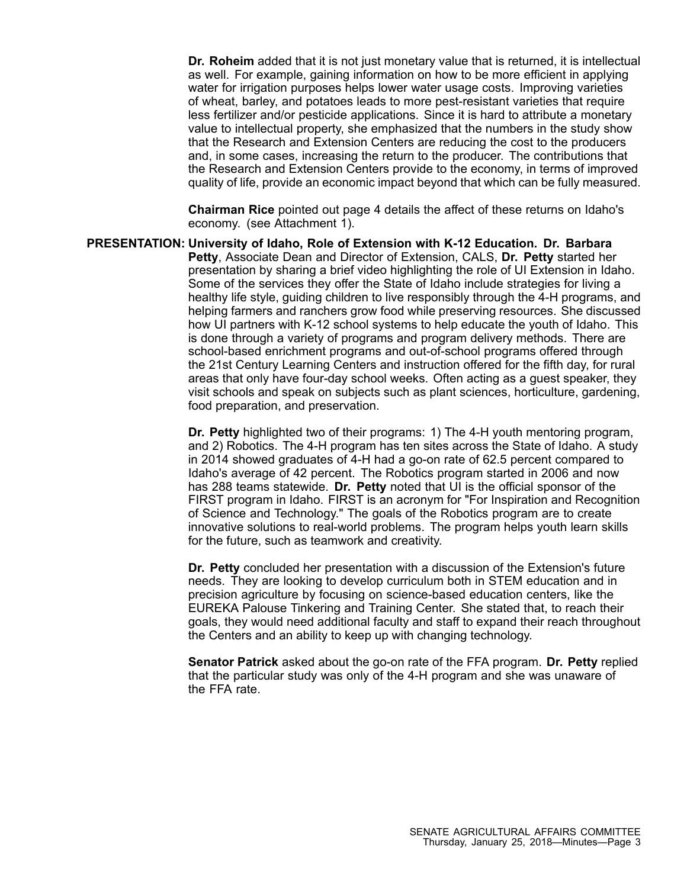**Dr. Roheim** added that it is not just monetary value that is returned, it is intellectual as well. For example, gaining information on how to be more efficient in applying water for irrigation purposes helps lower water usage costs. Improving varieties of wheat, barley, and potatoes leads to more pest-resistant varieties that require less fertilizer and/or pesticide applications. Since it is hard to attribute <sup>a</sup> monetary value to intellectual property, she emphasized that the numbers in the study show that the Research and Extension Centers are reducing the cost to the producers and, in some cases, increasing the return to the producer. The contributions that the Research and Extension Centers provide to the economy, in terms of improved quality of life, provide an economic impact beyond that which can be fully measured.

**Chairman Rice** pointed out page 4 details the affect of these returns on Idaho's economy. (see Attachment 1).

**PRESENTATION: University of Idaho, Role of Extension with K-12 Education. Dr. Barbara Petty**, Associate Dean and Director of Extension, CALS, **Dr. Petty** started her presentation by sharing <sup>a</sup> brief video highlighting the role of UI Extension in Idaho. Some of the services they offer the State of Idaho include strategies for living <sup>a</sup> healthy life style, guiding children to live responsibly through the 4-H programs, and helping farmers and ranchers grow food while preserving resources. She discussed how UI partners with K-12 school systems to help educate the youth of Idaho. This is done through <sup>a</sup> variety of programs and program delivery methods. There are school-based enrichment programs and out-of-school programs offered through the 21st Century Learning Centers and instruction offered for the fifth day, for rural areas that only have four-day school weeks. Often acting as <sup>a</sup> guest speaker, they visit schools and speak on subjects such as plant sciences, horticulture, gardening, food preparation, and preservation.

> **Dr. Petty** highlighted two of their programs: 1) The 4-H youth mentoring program, and 2) Robotics. The 4-H program has ten sites across the State of Idaho. A study in 2014 showed graduates of 4-H had <sup>a</sup> go-on rate of 62.5 percent compared to Idaho's average of 42 percent. The Robotics program started in 2006 and now has 288 teams statewide. **Dr. Petty** noted that UI is the official sponsor of the FIRST program in Idaho. FIRST is an acronym for "For Inspiration and Recognition of Science and Technology." The goals of the Robotics program are to create innovative solutions to real-world problems. The program helps youth learn skills for the future, such as teamwork and creativity.

> **Dr. Petty** concluded her presentation with <sup>a</sup> discussion of the Extension's future needs. They are looking to develop curriculum both in STEM education and in precision agriculture by focusing on science-based education centers, like the EUREKA Palouse Tinkering and Training Center. She stated that, to reach their goals, they would need additional faculty and staff to expand their reach throughout the Centers and an ability to keep up with changing technology.

> **Senator Patrick** asked about the go-on rate of the FFA program. **Dr. Petty** replied that the particular study was only of the 4-H program and she was unaware of the FFA rate.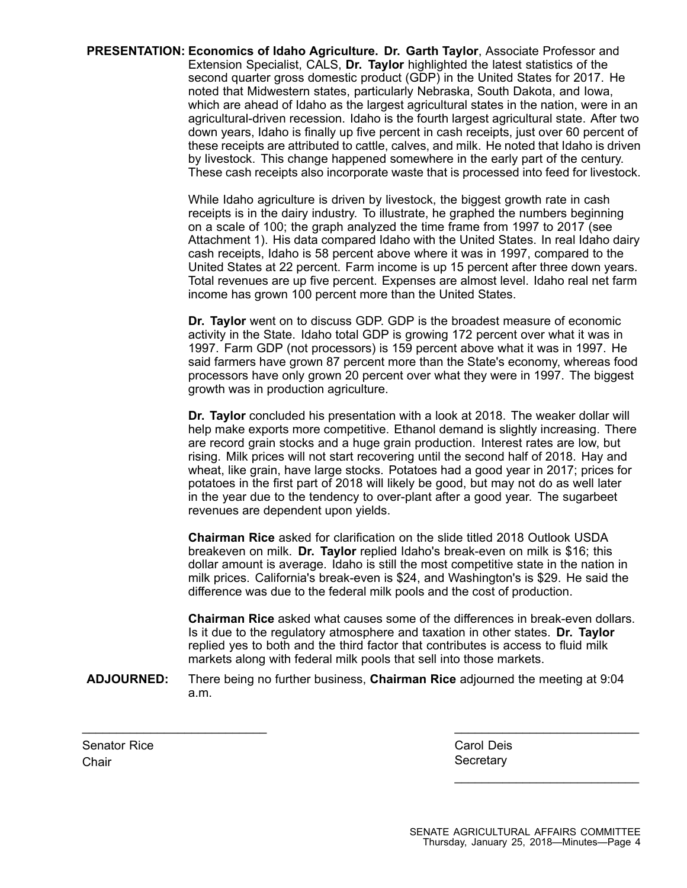**PRESENTATION: Economics of Idaho Agriculture. Dr. Garth Taylor**, Associate Professor and Extension Specialist, CALS, **Dr. Taylor** highlighted the latest statistics of the second quarter gross domestic product (GDP) in the United States for 2017. He noted that Midwestern states, particularly Nebraska, South Dakota, and Iowa, which are ahead of Idaho as the largest agricultural states in the nation, were in an agricultural-driven recession. Idaho is the fourth largest agricultural state. After two down years, Idaho is finally up five percent in cash receipts, just over 60 percent of these receipts are attributed to cattle, calves, and milk. He noted that Idaho is driven by livestock. This change happened somewhere in the early part of the century. These cash receipts also incorporate waste that is processed into feed for livestock.

> While Idaho agriculture is driven by livestock, the biggest growth rate in cash receipts is in the dairy industry. To illustrate, he graphed the numbers beginning on <sup>a</sup> scale of 100; the graph analyzed the time frame from 1997 to 2017 (see Attachment 1). His data compared Idaho with the United States. In real Idaho dairy cash receipts, Idaho is 58 percent above where it was in 1997, compared to the United States at 22 percent. Farm income is up 15 percent after three down years. Total revenues are up five percent. Expenses are almost level. Idaho real net farm income has grown 100 percent more than the United States.

> **Dr. Taylor** went on to discuss GDP. GDP is the broadest measure of economic activity in the State. Idaho total GDP is growing 172 percent over what it was in 1997. Farm GDP (not processors) is 159 percent above what it was in 1997. He said farmers have grown 87 percent more than the State's economy, whereas food processors have only grown 20 percent over what they were in 1997. The biggest growth was in production agriculture.

> **Dr. Taylor** concluded his presentation with <sup>a</sup> look at 2018. The weaker dollar will help make exports more competitive. Ethanol demand is slightly increasing. There are record grain stocks and <sup>a</sup> huge grain production. Interest rates are low, but rising. Milk prices will not start recovering until the second half of 2018. Hay and wheat, like grain, have large stocks. Potatoes had <sup>a</sup> good year in 2017; prices for potatoes in the first part of 2018 will likely be good, but may not do as well later in the year due to the tendency to over-plant after <sup>a</sup> good year. The sugarbeet revenues are dependent upon yields.

**Chairman Rice** asked for clarification on the slide titled 2018 Outlook USDA breakeven on milk. **Dr. Taylor** replied Idaho's break-even on milk is \$16; this dollar amount is average. Idaho is still the most competitive state in the nation in milk prices. California's break-even is \$24, and Washington's is \$29. He said the difference was due to the federal milk pools and the cost of production.

**Chairman Rice** asked what causes some of the differences in break-even dollars. Is it due to the regulatory atmosphere and taxation in other states. **Dr. Taylor** replied yes to both and the third factor that contributes is access to fluid milk markets along with federal milk pools that sell into those markets.

**ADJOURNED:** There being no further business, **Chairman Rice** adjourned the meeting at 9:04 a.m.

\_\_\_\_\_\_\_\_\_\_\_\_\_\_\_\_\_\_\_\_\_\_\_\_\_\_\_ \_\_\_\_\_\_\_\_\_\_\_\_\_\_\_\_\_\_\_\_\_\_\_\_\_\_\_

Senator Rice Carol Deis Carol Deis Carol Deis Carol Deis Chair Secretary Chair Secretary Secretary Secretary Secretary

\_\_\_\_\_\_\_\_\_\_\_\_\_\_\_\_\_\_\_\_\_\_\_\_\_\_\_